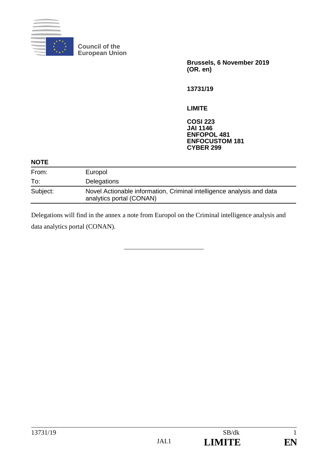

**Council of the European Union**

> **Brussels, 6 November 2019 (OR. en)**

**13731/19**

**LIMITE**

**COSI 223 JAI 1146 ENFOPOL 481 ENFOCUSTOM 181 CYBER 299**

#### **NOTE**

| From:    | Europol                                                                                           |
|----------|---------------------------------------------------------------------------------------------------|
| To:      | Delegations                                                                                       |
| Subject: | Novel Actionable information, Criminal intelligence analysis and data<br>analytics portal (CONAN) |

Delegations will find in the annex a note from Europol on the Criminal intelligence analysis and data analytics portal (CONAN).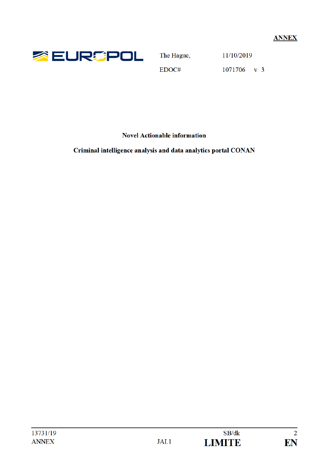

The Hague,

11/10/2019

EDOC#

1071706 v 3

**Novel Actionable information** 

Criminal intelligence analysis and data analytics portal CONAN

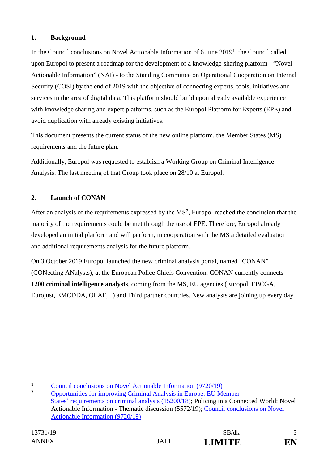# **1. Background**

In the Council conclusions on Novel Actionable Information of 6 June 2019**<sup>1</sup>**, the Council called upon Europol to present a roadmap for the development of a knowledge-sharing platform - "Novel Actionable Information" (NAI) - to the Standing Committee on Operational Cooperation on Internal Security (COSI) by the end of 2019 with the objective of connecting experts, tools, initiatives and services in the area of digital data. This platform should build upon already available experience with knowledge sharing and expert platforms, such as the Europol Platform for Experts (EPE) and avoid duplication with already existing initiatives.

This document presents the current status of the new online platform, the Member States (MS) requirements and the future plan.

Additionally, Europol was requested to establish a Working Group on Criminal Intelligence Analysis. The last meeting of that Group took place on 28/10 at Europol.

# **2. Launch of CONAN**

After an analysis of the requirements expressed by the MS**<sup>2</sup>**, Europol reached the conclusion that the majority of the requirements could be met through the use of EPE. Therefore, Europol already developed an initial platform and will perform, in cooperation with the MS a detailed evaluation and additional requirements analysis for the future platform.

On 3 October 2019 Europol launched the new criminal analysis portal, named "CONAN" (CONecting ANalysts), at the European Police Chiefs Convention. CONAN currently connects **1200 criminal intelligence analysts**, coming from the MS, EU agencies (Europol, EBCGA, Eurojust, EMCDDA, OLAF, ..) and Third partner countries. New analysts are joining up every day.



 $\mathbf{1}$ <sup>1</sup> Council conclusions on Novel Actionable Information (9720/19)<sup>2</sup>

**<sup>2</sup>** Opportunities for improving Criminal Analysis in Europe: EU Member States' requirements on criminal analysis (15200/18); Policing in a Connected World: Novel Actionable Information - Thematic discussion (5572/19); Council conclusions on Novel Actionable Information (9720/19)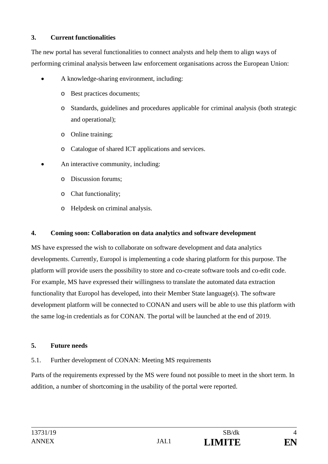# **3. Current functionalities**

The new portal has several functionalities to connect analysts and help them to align ways of performing criminal analysis between law enforcement organisations across the European Union:

- A knowledge-sharing environment, including:
	- o Best practices documents;
	- o Standards, guidelines and procedures applicable for criminal analysis (both strategic and operational);
	- o Online training;
	- o Catalogue of shared ICT applications and services.
- An interactive community, including:
	- o Discussion forums;
	- o Chat functionality;
	- o Helpdesk on criminal analysis.

### **4. Coming soon: Collaboration on data analytics and software development**

MS have expressed the wish to collaborate on software development and data analytics developments. Currently, Europol is implementing a code sharing platform for this purpose. The platform will provide users the possibility to store and co-create software tools and co-edit code. For example, MS have expressed their willingness to translate the automated data extraction functionality that Europol has developed, into their Member State language(s). The software development platform will be connected to CONAN and users will be able to use this platform with the same log-in credentials as for CONAN. The portal will be launched at the end of 2019.

### **5. Future needs**

### 5.1. Further development of CONAN: Meeting MS requirements

Parts of the requirements expressed by the MS were found not possible to meet in the short term. In addition, a number of shortcoming in the usability of the portal were reported.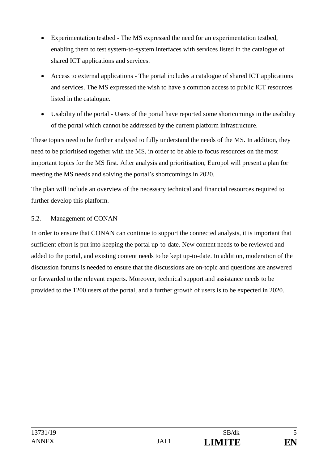- Experimentation testbed The MS expressed the need for an experimentation testbed, enabling them to test system-to-system interfaces with services listed in the catalogue of shared ICT applications and services.
- Access to external applications The portal includes a catalogue of shared ICT applications and services. The MS expressed the wish to have a common access to public ICT resources listed in the catalogue.
- Usability of the portal Users of the portal have reported some shortcomings in the usability of the portal which cannot be addressed by the current platform infrastructure.

These topics need to be further analysed to fully understand the needs of the MS. In addition, they need to be prioritised together with the MS, in order to be able to focus resources on the most important topics for the MS first. After analysis and prioritisation, Europol will present a plan for meeting the MS needs and solving the portal's shortcomings in 2020.

The plan will include an overview of the necessary technical and financial resources required to further develop this platform.

# 5.2. Management of CONAN

In order to ensure that CONAN can continue to support the connected analysts, it is important that sufficient effort is put into keeping the portal up-to-date. New content needs to be reviewed and added to the portal, and existing content needs to be kept up-to-date. In addition, moderation of the discussion forums is needed to ensure that the discussions are on-topic and questions are answered or forwarded to the relevant experts. Moreover, technical support and assistance needs to be provided to the 1200 users of the portal, and a further growth of users is to be expected in 2020.